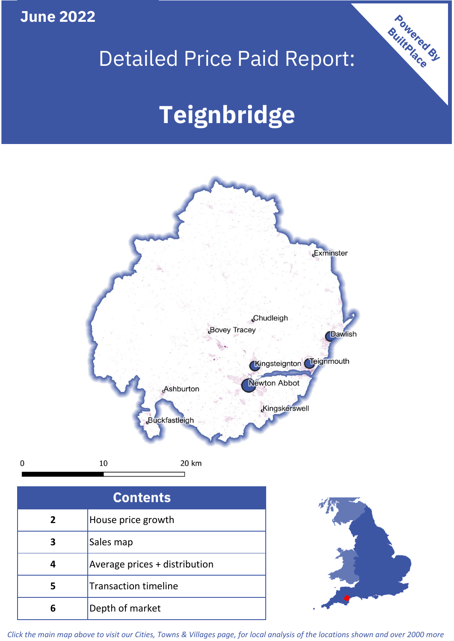**June 2022**

## Detailed Price Paid Report:

# **Teignbridge**



 $\mathbf 0$ 

| <b>Contents</b> |                               |  |  |
|-----------------|-------------------------------|--|--|
| $\overline{2}$  | House price growth            |  |  |
| 3               | Sales map                     |  |  |
| 4               | Average prices + distribution |  |  |
|                 | <b>Transaction timeline</b>   |  |  |
|                 | Depth of market               |  |  |



Powered By

*Click the main map above to visit our Cities, Towns & Villages page, for local analysis of the locations shown and over 2000 more*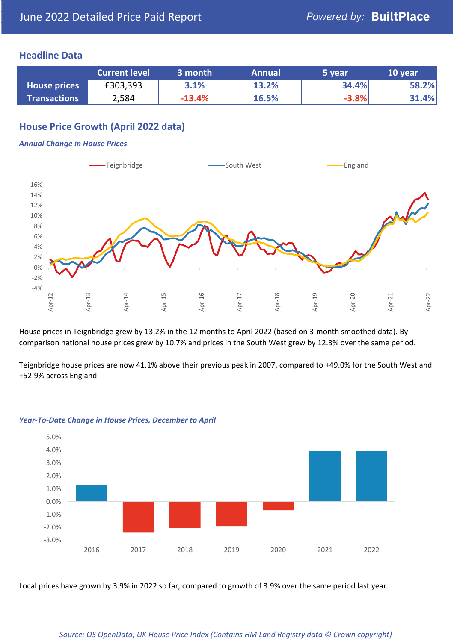#### **Headline Data**

|                     | <b>Current level</b> | 3 month  | <b>Annual</b> | 5 year  | 10 year |
|---------------------|----------------------|----------|---------------|---------|---------|
| <b>House prices</b> | £303,393             | 3.1%     | 13.2%         | 34.4%   | 58.2%   |
| <b>Transactions</b> | 2,584                | $-13.4%$ | 16.5%         | $-3.8%$ | 31.4%   |

### **House Price Growth (April 2022 data)**

#### *Annual Change in House Prices*



House prices in Teignbridge grew by 13.2% in the 12 months to April 2022 (based on 3-month smoothed data). By comparison national house prices grew by 10.7% and prices in the South West grew by 12.3% over the same period.

Teignbridge house prices are now 41.1% above their previous peak in 2007, compared to +49.0% for the South West and +52.9% across England.



#### *Year-To-Date Change in House Prices, December to April*

Local prices have grown by 3.9% in 2022 so far, compared to growth of 3.9% over the same period last year.

#### *Source: OS OpenData; UK House Price Index (Contains HM Land Registry data © Crown copyright)*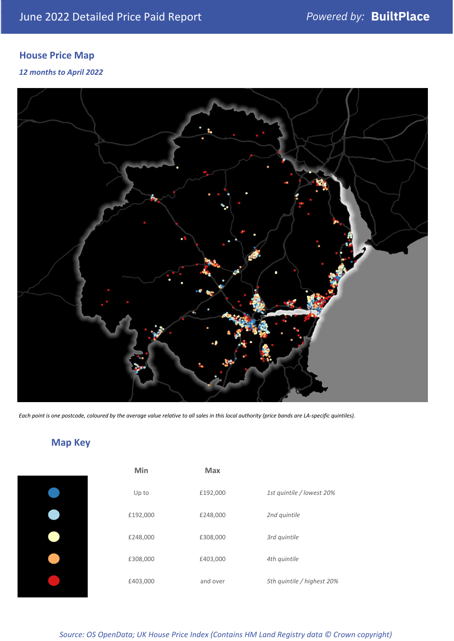### **House Price Map**

#### *12 months to April 2022*



*Each point is one postcode, coloured by the average value relative to all sales in this local authority (price bands are LA-specific quintiles).*

### **Map Key**

| i |
|---|
| I |
| I |
| i |

| Min      | Max      |                            |
|----------|----------|----------------------------|
| Up to    | £192,000 | 1st quintile / lowest 20%  |
| £192,000 | £248,000 | 2nd quintile               |
| £248,000 | £308,000 | 3rd quintile               |
| £308,000 | £403,000 | 4th quintile               |
| £403,000 | and over | 5th quintile / highest 20% |

*Source: OS OpenData; UK House Price Index (Contains HM Land Registry data © Crown copyright)*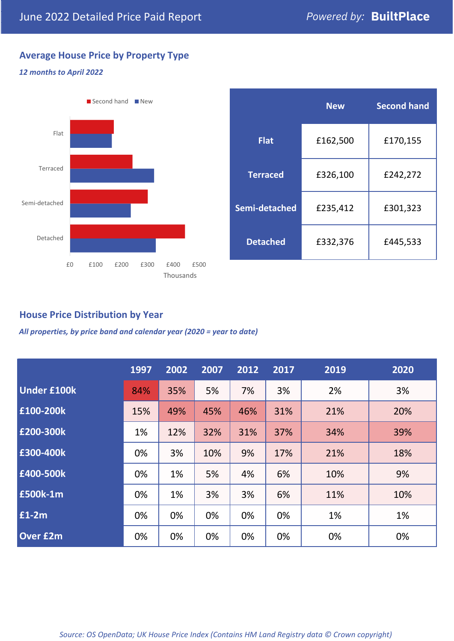### **Average House Price by Property Type**

#### *12 months to April 2022*



|                 | <b>New</b> | <b>Second hand</b> |  |  |
|-----------------|------------|--------------------|--|--|
| <b>Flat</b>     | £162,500   | £170,155           |  |  |
| <b>Terraced</b> | £326,100   | £242,272           |  |  |
| Semi-detached   | £235,412   | £301,323           |  |  |
| <b>Detached</b> | £332,376   | £445,533           |  |  |

#### **House Price Distribution by Year**

*All properties, by price band and calendar year (2020 = year to date)*

|                    | 1997 | 2002 | 2007 | 2012 | 2017 | 2019 | 2020 |
|--------------------|------|------|------|------|------|------|------|
| <b>Under £100k</b> | 84%  | 35%  | 5%   | 7%   | 3%   | 2%   | 3%   |
| £100-200k          | 15%  | 49%  | 45%  | 46%  | 31%  | 21%  | 20%  |
| E200-300k          | 1%   | 12%  | 32%  | 31%  | 37%  | 34%  | 39%  |
| £300-400k          | 0%   | 3%   | 10%  | 9%   | 17%  | 21%  | 18%  |
| £400-500k          | 0%   | 1%   | 5%   | 4%   | 6%   | 10%  | 9%   |
| <b>£500k-1m</b>    | 0%   | 1%   | 3%   | 3%   | 6%   | 11%  | 10%  |
| £1-2m              | 0%   | 0%   | 0%   | 0%   | 0%   | 1%   | 1%   |
| <b>Over £2m</b>    | 0%   | 0%   | 0%   | 0%   | 0%   | 0%   | 0%   |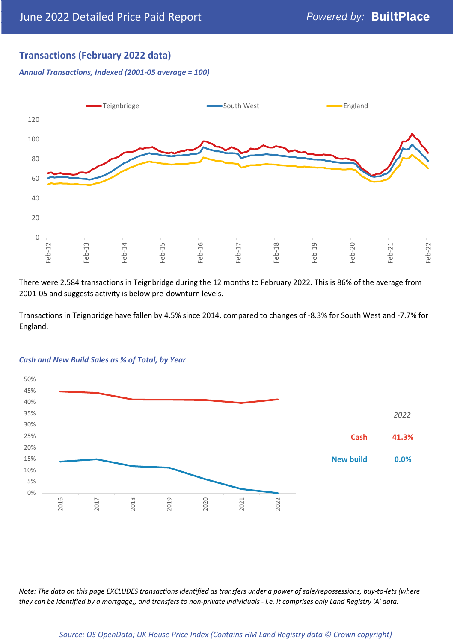### **Transactions (February 2022 data)**

*Annual Transactions, Indexed (2001-05 average = 100)*



There were 2,584 transactions in Teignbridge during the 12 months to February 2022. This is 86% of the average from 2001-05 and suggests activity is below pre-downturn levels.

Transactions in Teignbridge have fallen by 4.5% since 2014, compared to changes of -8.3% for South West and -7.7% for England.



#### *Cash and New Build Sales as % of Total, by Year*

*Note: The data on this page EXCLUDES transactions identified as transfers under a power of sale/repossessions, buy-to-lets (where they can be identified by a mortgage), and transfers to non-private individuals - i.e. it comprises only Land Registry 'A' data.*